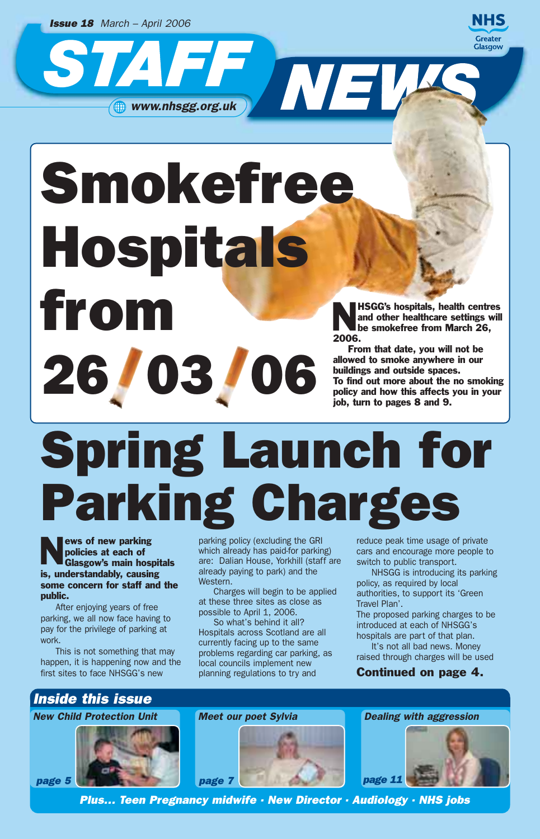*Issue 18 March – April 2006*



Smokefree Hospitals From New York HSGG's hospitals, health centres<br>and other healthcare settings will<br>be smokefree from March 26 allowed to smoke anywhere in our buildings and outside spaces.<br>To find out more about the no smoking policy and how this affects you in your

 $\frac{1}{2}$  www.nhsgg.org.uk

and other healthcare settings will be smokefree from March 26, 2006.

From that date, you will not be allowed to smoke anywhere in our buildings and outside spaces. To find out more about the no smoking job, turn to pages 8 and 9.

## Spring Launch for Parking Charges

ews of new parking policies at each of Glasgow's main hospitals is, understandably, causing some concern for staff and the public.

After enjoying years of free parking, we all now face having to pay for the privilege of parking at work.

This is not something that may happen, it is happening now and the first sites to face NHSGG's new

parking policy (excluding the GRI which already has paid-for parking) are: Dalian House, Yorkhill (staff are already paying to park) and the Western.

Charges will begin to be applied at these three sites as close as possible to April 1, 2006.

So what's behind it all? Hospitals across Scotland are all currently facing up to the same problems regarding car parking, as local councils implement new planning regulations to try and

reduce peak time usage of private cars and encourage more people to switch to public transport.

NHSGG is introducing its parking policy, as required by local authorities, to support its 'Green Travel Plan'.

The proposed parking charges to be introduced at each of NHSGG's hospitals are part of that plan.

It's not all bad news. Money raised through charges will be used

### Continued on page 4.

## *Inside this issue*

*New Child Protection Unit*







*Plus… Teen Pregnancy midwife · New Director · Audiology · NHS jobs*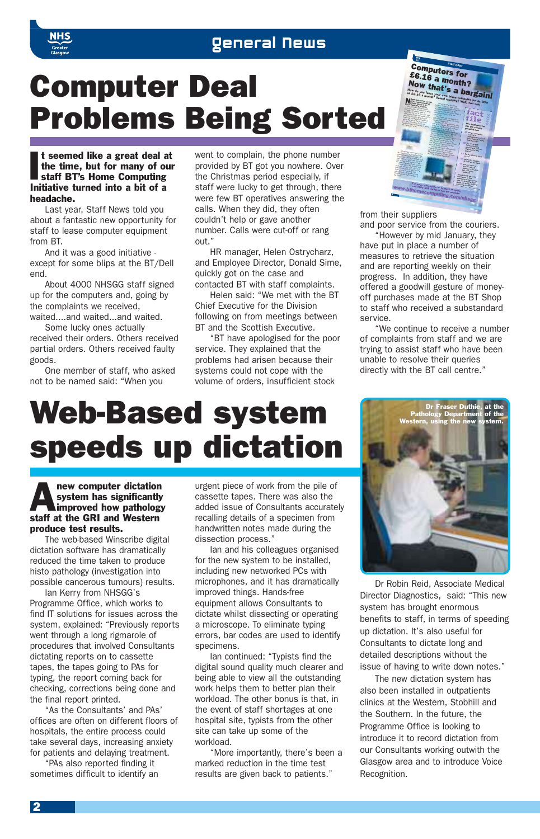



#### I t seemed like a great deal a<br>the time, but for many of o<br>staff BT's Home Computing<br>Initiative turned into a bit of a t seemed like a great deal at the time, but for many of our staff BT's Home Computing headache.

Last year, Staff News told you about a fantastic new opportunity for staff to lease computer equipment from BT.

And it was a good initiative except for some blips at the BT/Dell end.

About 4000 NHSGG staff signed up for the computers and, going by the complaints we received, waited....and waited...and waited.

Some lucky ones actually

received their orders. Others received partial orders. Others received faulty goods.

One member of staff, who asked not to be named said: "When you

went to complain, the phone number provided by BT got you nowhere. Over the Christmas period especially, if staff were lucky to get through, there were few BT operatives answering the calls. When they did, they often couldn't help or gave another number. Calls were cut-off or rang out."

HR manager, Helen Ostrycharz, and Employee Director, Donald Sime, quickly got on the case and contacted BT with staff complaints.

Helen said: "We met with the BT Chief Executive for the Division following on from meetings between BT and the Scottish Executive.

"BT have apologised for the poor service. They explained that the problems had arisen because their systems could not cope with the volume of orders, insufficient stock



from their suppliers

and poor service from the couriers. "However by mid January, they

have put in place a number of measures to retrieve the situation and are reporting weekly on their progress. In addition, they have offered a goodwill gesture of moneyoff purchases made at the BT Shop to staff who received a substandard service.

"We continue to receive a number of complaints from staff and we are trying to assist staff who have been unable to resolve their queries directly with the BT call centre."

## Web-Based system speeds up dictation

## **A** new computer dictation<br>system has significantly<br>improved how pathology system has significantly staff at the GRI and Western produce test results.

The web-based Winscribe digital dictation software has dramatically reduced the time taken to produce histo pathology (investigation into possible cancerous tumours) results.

Ian Kerry from NHSGG's Programme Office, which works to find IT solutions for issues across the system, explained: "Previously reports went through a long rigmarole of procedures that involved Consultants dictating reports on to cassette tapes, the tapes going to PAs for typing, the report coming back for checking, corrections being done and the final report printed.

"As the Consultants' and PAs' offices are often on different floors of hospitals, the entire process could take several days, increasing anxiety for patients and delaying treatment.

"PAs also reported finding it sometimes difficult to identify an urgent piece of work from the pile of cassette tapes. There was also the added issue of Consultants accurately recalling details of a specimen from handwritten notes made during the dissection process."

Ian and his colleagues organised for the new system to be installed, including new networked PCs with microphones, and it has dramatically improved things. Hands-free equipment allows Consultants to dictate whilst dissecting or operating a microscope. To eliminate typing errors, bar codes are used to identify specimens.

Ian continued: "Typists find the digital sound quality much clearer and being able to view all the outstanding work helps them to better plan their workload. The other bonus is that, in the event of staff shortages at one hospital site, typists from the other site can take up some of the workload.

"More importantly, there's been a marked reduction in the time test results are given back to patients."



Dr Robin Reid, Associate Medical Director Diagnostics, said: "This new system has brought enormous benefits to staff, in terms of speeding up dictation. It's also useful for Consultants to dictate long and detailed descriptions without the issue of having to write down notes."

The new dictation system has also been installed in outpatients clinics at the Western, Stobhill and the Southern. In the future, the Programme Office is looking to introduce it to record dictation from our Consultants working outwith the Glasgow area and to introduce Voice Recognition.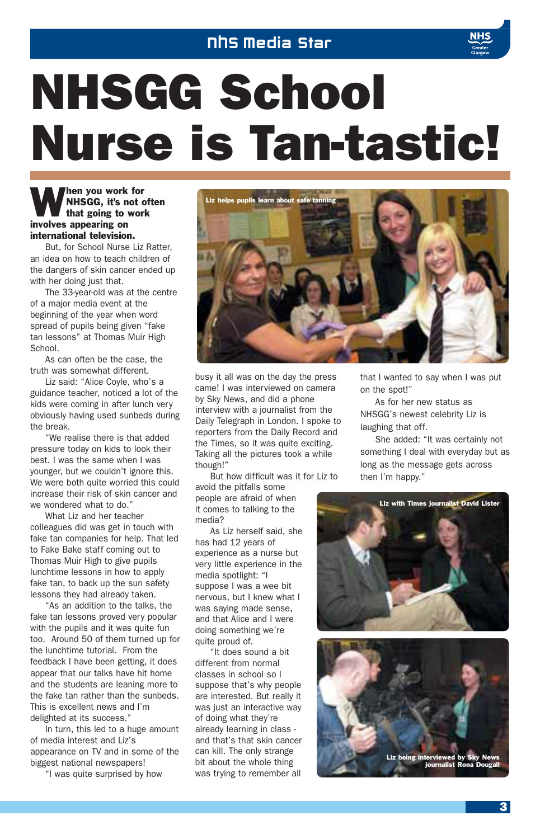## NHS Media Star

## NHSGG School Nurse is Tan-tastic!

## **When you work for<br>MHSGG, it's not of<br>that going to work** NHSGG, it's not often involves appearing on international television.

But, for School Nurse Liz Ratter, an idea on how to teach children of the dangers of skin cancer ended up with her doing just that.

The 33-year-old was at the centre of a major media event at the beginning of the year when word spread of pupils being given "fake tan lessons" at Thomas Muir High School.

As can often be the case, the truth was somewhat different.

Liz said: "Alice Coyle, who's a guidance teacher, noticed a lot of the kids were coming in after lunch very obviously having used sunbeds during the break.

"We realise there is that added pressure today on kids to look their best. I was the same when I was younger, but we couldn't ignore this. We were both quite worried this could increase their risk of skin cancer and we wondered what to do."

What Liz and her teacher colleagues did was get in touch with fake tan companies for help. That led to Fake Bake staff coming out to Thomas Muir High to give pupils lunchtime lessons in how to apply fake tan, to back up the sun safety lessons they had already taken.

"As an addition to the talks, the fake tan lessons proved very popular with the pupils and it was quite fun too. Around 50 of them turned up for the lunchtime tutorial. From the feedback I have been getting, it does appear that our talks have hit home and the students are leaning more to the fake tan rather than the sunbeds. This is excellent news and I'm delighted at its success."

In turn, this led to a huge amount of media interest and Liz's appearance on TV and in some of the biggest national newspapers!

"I was quite surprised by how



busy it all was on the day the press came! I was interviewed on camera by Sky News, and did a phone interview with a journalist from the Daily Telegraph in London. I spoke to reporters from the Daily Record and the Times, so it was quite exciting. Taking all the pictures took a while though!"

But how difficult was it for Liz to

avoid the pitfalls some people are afraid of when it comes to talking to the media?

As Liz herself said, she has had 12 years of experience as a nurse but very little experience in the media spotlight: "I suppose I was a wee bit nervous, but I knew what I was saying made sense, and that Alice and I were doing something we're quite proud of.

"It does sound a bit different from normal classes in school so I suppose that's why people are interested. But really it was just an interactive way of doing what they're already learning in class and that's that skin cancer can kill. The only strange bit about the whole thing was trying to remember all that I wanted to say when I was put on the spot!"

As for her new status as NHSGG's newest celebrity Liz is laughing that off.

She added: "It was certainly not something I deal with everyday but as long as the message gets across then I'm happy."



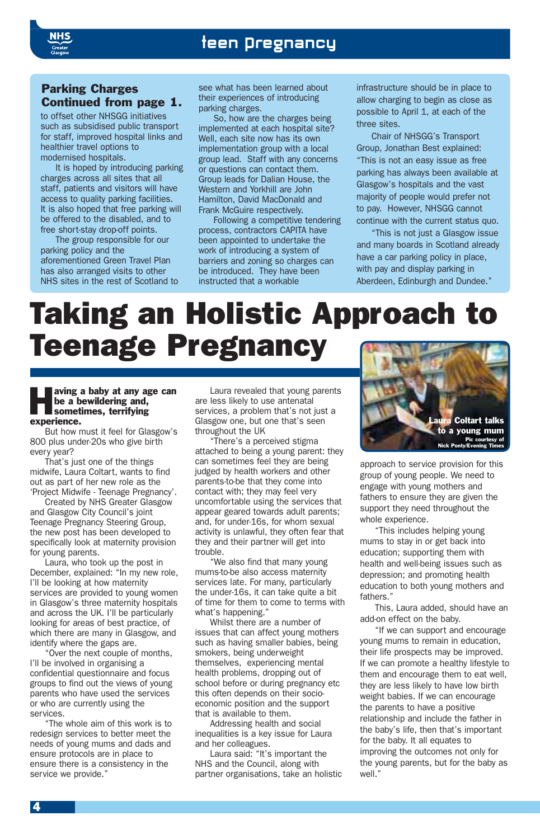

## teen pregnancy

### Parking Charges Continued from page 1.

to offset other NHSGG initiatives such as subsidised public transport for staff, improved hospital links and healthier travel options to modernised hospitals.

It is hoped by introducing parking charges across all sites that all staff, patients and visitors will have access to quality parking facilities. It is also hoped that free parking will be offered to the disabled, and to free short-stay drop-off points.

The group responsible for our parking policy and the aforementioned Green Travel Plan has also arranged visits to other NHS sites in the rest of Scotland to

see what has been learned about their experiences of introducing parking charges.

So, how are the charges being implemented at each hospital site? Well, each site now has its own implementation group with a local group lead. Staff with any concerns or questions can contact them. Group leads for Dalian House, the Western and Yorkhill are John Hamilton, David MacDonald and Frank McGuire respectively.

Following a competitive tendering process, contractors CAPITA have been appointed to undertake the work of introducing a system of barriers and zoning so charges can be introduced. They have been instructed that a workable

infrastructure should be in place to allow charging to begin as close as possible to April 1, at each of the three sites.

Chair of NHSGG's Transport Group, Jonathan Best explained: "This is not an easy issue as free parking has always been available at Glasgow's hospitals and the vast majority of people would prefer not to pay. However, NHSGG cannot continue with the current status quo.

"This is not just a Glasgow issue and many boards in Scotland already have a car parking policy in place, with pay and display parking in Aberdeen, Edinburgh and Dundee."

## Taking an Holistic Approach to Teenage Pregnancy

#### aving a baby at any age can be a bewildering and, sometimes, terrifying experience.

But how must it feel for Glasgow's 800 plus under-20s who give birth every year?

That's just one of the things midwife, Laura Coltart, wants to find out as part of her new role as the 'Project Midwife - Teenage Pregnancy'.

Created by NHS Greater Glasgow and Glasgow City Council's joint Teenage Pregnancy Steering Group, the new post has been developed to specifically look at maternity provision for young parents.

Laura, who took up the post in December, explained: "In my new role, I'll be looking at how maternity services are provided to young women in Glasgow's three maternity hospitals and across the UK. I'll be particularly looking for areas of best practice, of which there are many in Glasgow, and identify where the gaps are.

"Over the next couple of months, I'll be involved in organising a confidential questionnaire and focus groups to find out the views of young parents who have used the services or who are currently using the services.

"The whole aim of this work is to redesign services to better meet the needs of young mums and dads and ensure protocols are in place to ensure there is a consistency in the service we provide."

Laura revealed that young parents are less likely to use antenatal services, a problem that's not just a Glasgow one, but one that's seen throughout the UK

"There's a perceived stigma attached to being a young parent: they can sometimes feel they are being judged by health workers and other parents-to-be that they come into contact with; they may feel very uncomfortable using the services that appear geared towards adult parents; and, for under-16s, for whom sexual activity is unlawful, they often fear that they and their partner will get into trouble.

"We also find that many young mums-to-be also access maternity services late. For many, particularly the under-16s, it can take quite a bit of time for them to come to terms with what's happening."

Whilst there are a number of issues that can affect young mothers such as having smaller babies, being smokers, being underweight themselves, experiencing mental health problems, dropping out of school before or during pregnancy etc this often depends on their socioeconomic position and the support that is available to them.

Addressing health and social inequalities is a key issue for Laura and her colleagues.

Laura said: "It's important the NHS and the Council, along with partner organisations, take an holistic



approach to service provision for this group of young people. We need to engage with young mothers and fathers to ensure they are given the support they need throughout the whole experience.

"This includes helping young mums to stay in or get back into education; supporting them with health and well-being issues such as depression; and promoting health education to both young mothers and fathers."

This, Laura added, should have an add-on effect on the baby.

"If we can support and encourage young mums to remain in education, their life prospects may be improved. If we can promote a healthy lifestyle to them and encourage them to eat well, they are less likely to have low birth weight babies. If we can encourage the parents to have a positive relationship and include the father in the baby's life, then that's important for the baby. It all equates to improving the outcomes not only for the young parents, but for the baby as well."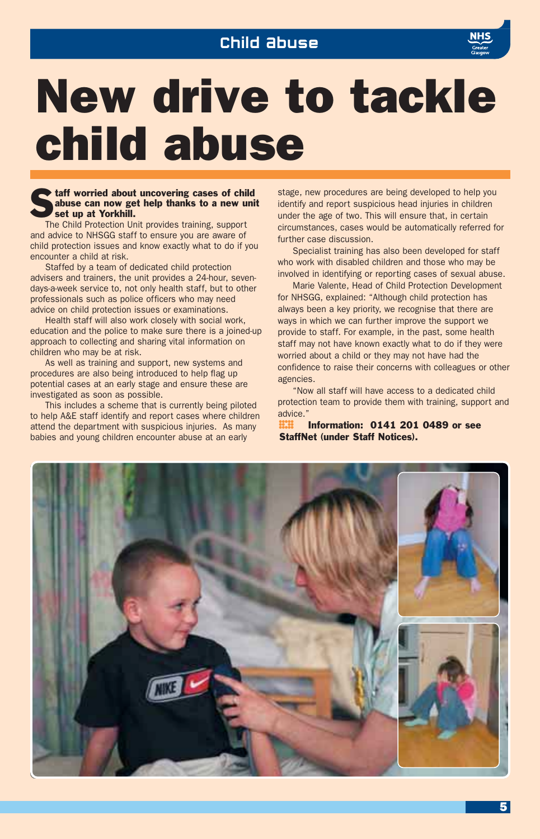

## New drive to tackle child abuse

#### $\blacktriangleright$  taff worried about uncovering cases of child abuse can now get help thanks to a new unit set up at Yorkhill.

The Child Protection Unit provides training, support and advice to NHSGG staff to ensure you are aware of child protection issues and know exactly what to do if you encounter a child at risk.

Staffed by a team of dedicated child protection advisers and trainers, the unit provides a 24-hour, sevendays-a-week service to, not only health staff, but to other professionals such as police officers who may need advice on child protection issues or examinations.

Health staff will also work closely with social work, education and the police to make sure there is a joined-up approach to collecting and sharing vital information on children who may be at risk.

As well as training and support, new systems and procedures are also being introduced to help flag up potential cases at an early stage and ensure these are investigated as soon as possible.

This includes a scheme that is currently being piloted to help A&E staff identify and report cases where children attend the department with suspicious injuries. As many babies and young children encounter abuse at an early

stage, new procedures are being developed to help you identify and report suspicious head injuries in children under the age of two. This will ensure that, in certain circumstances, cases would be automatically referred for further case discussion.

Specialist training has also been developed for staff who work with disabled children and those who may be involved in identifying or reporting cases of sexual abuse.

Marie Valente, Head of Child Protection Development for NHSGG, explained: "Although child protection has always been a key priority, we recognise that there are ways in which we can further improve the support we provide to staff. For example, in the past, some health staff may not have known exactly what to do if they were worried about a child or they may not have had the confidence to raise their concerns with colleagues or other agencies.

"Now all staff will have access to a dedicated child protection team to provide them with training, support and advice."

° Information: 0141 201 0489 or see StaffNet (under Staff Notices).

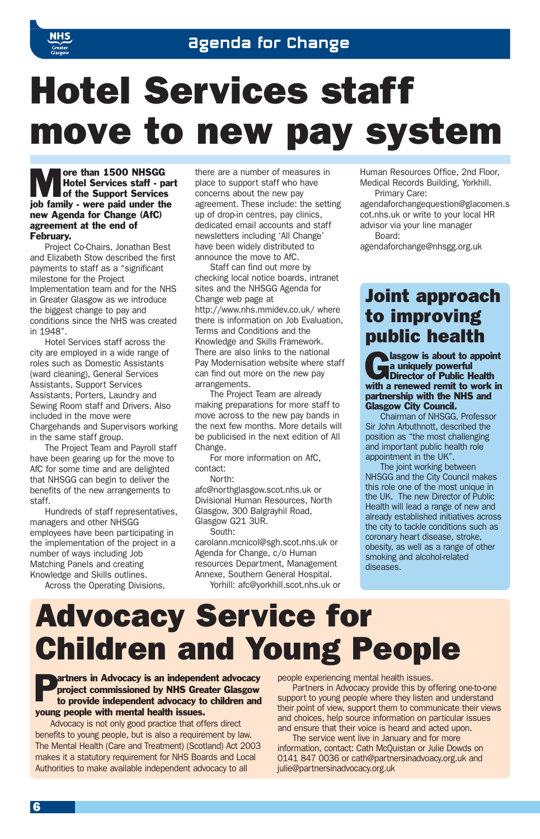

## Hotel Services staff move to new pay system

The United Services staff - p<br>
Motel Services staff - p<br>
of the Support Services Hotel Services staff - part of the Support Services job family - were paid under the new Agenda for Change (AfC) agreement at the end of February.

Project Co-Chairs, Jonathan Best and Elizabeth Stow described the first payments to staff as a "significant milestone for the Project Implementation team and for the NHS in Greater Glasgow as we introduce the biggest change to pay and conditions since the NHS was created in 1948".

Hotel Services staff across the city are employed in a wide range of roles such as Domestic Assistants (ward cleaning), General Services Assistants, Support Services Assistants, Porters, Laundry and Sewing Room staff and Drivers. Also included in the move were Chargehands and Supervisors working in the same staff group.

The Project Team and Payroll staff have been gearing up for the move to AfC for some time and are delighted that NHSGG can begin to deliver the benefits of the new arrangements to staff.

Hundreds of staff representatives, managers and other NHSGG employees have been participating in the implementation of the project in a number of ways including Job Matching Panels and creating Knowledge and Skills outlines.

Across the Operating Divisions,

there are a number of measures in place to support staff who have concerns about the new pay agreement. These include: the setting up of drop-in centres, pay clinics, dedicated email accounts and staff newsletters including 'All Change' have been widely distributed to announce the move to AfC.

Staff can find out more by checking local notice boards, intranet sites and the NHSGG Agenda for Change web page at http://www.nhs.mmidev.co.uk/ where there is information on Job Evaluation, Terms and Conditions and the Knowledge and Skills Framework. There are also links to the national Pay Modernisation website where staff can find out more on the new pay arrangements.

The Project Team are already making preparations for more staff to move across to the new pay bands in the next few months. More details will be publicised in the next edition of All Change.

For more information on AfC, contact:

North:

afc@northglasgow.scot.nhs.uk or Divisional Human Resources, North Glasgow, 300 Balgrayhil Road, Glasgow G21 3UR.

South:

carolann.mcnicol@sgh.scot.nhs.uk or Agenda for Change, c/o Human resources Department, Management Annexe, Southern General Hospital. Yorhill: afc@yorkhill.scot.nhs.uk or Human Resources Office, 2nd Floor, Medical Records Building, Yorkhill. Primary Care:

agendaforchangequestion@glacomen.s cot.nhs.uk or write to your local HR advisor via your line manager Board:

agendaforchange@nhsgg.org.uk

## Joint approach to improving public health

a uniquely powerful<br>a uniquely powerful<br>Director of Public Health<br>with a wave in a uniquely powerful Director of Public Health with a renewed remit to work in partnership with the NHS and Glasgow City Council.

Chairman of NHSGG, Professor Sir John Arbuthnott, described the position as "the most challenging and important public health role appointment in the UK".

The joint working between NHSGG and the City Council makes this role one of the most unique in the UK. The new Director of Public Health will lead a range of new and already established initiatives across the city to tackle conditions such as coronary heart disease, stroke, obesity, as well as a range of other smoking and alcohol-related diseases.

## Advocacy Service for Children and Young People

#### artners in Advocacy is an independent advocacy project commissioned by NHS Greater Glasgow to provide independent advocacy to children and young people with mental health issues.

Advocacy is not only good practice that offers direct benefits to young people, but is also a requirement by law. The Mental Health (Care and Treatment) (Scotland) Act 2003 makes it a statutory requirement for NHS Boards and Local Authorities to make available independent advocacy to all

people experiencing mental health issues.

Partners in Advocacy provide this by offering one-to-one support to young people where they listen and understand their point of view, support them to communicate their views and choices, help source information on particular issues and ensure that their voice is heard and acted upon.

The service went live in January and for more information, contact: Cath McQuistan or Julie Dowds on 0141 847 0036 or cath@partnersinadvoacy.org.uk and julie@partnersinadvocacy.org.uk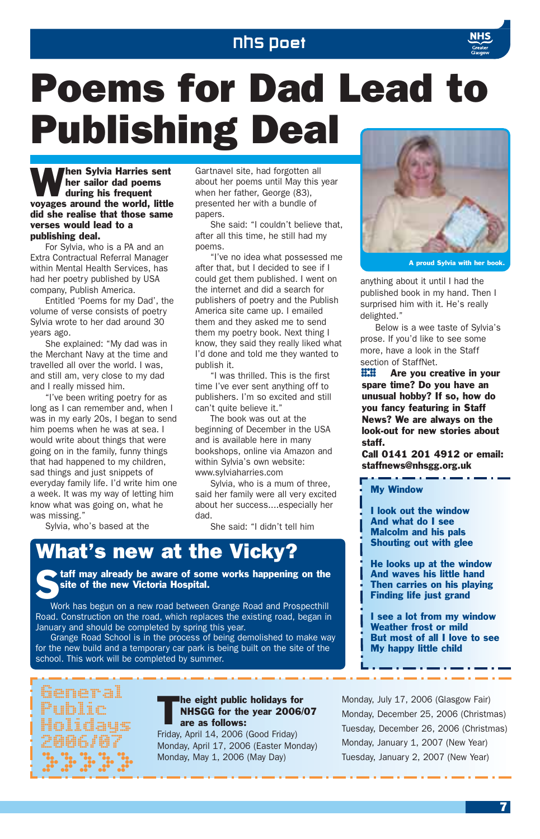## NHS Poet



## Poems for Dad Lead to Publishing Deal

When Sylvia Harries sent<br>
during his frequent<br>
during his frequent her sailor dad poems during his frequent voyages around the world, little did she realise that those same verses would lead to a publishing deal.

For Sylvia, who is a PA and an Extra Contractual Referral Manager within Mental Health Services, has had her poetry published by USA company, Publish America.

Entitled 'Poems for my Dad', the volume of verse consists of poetry Sylvia wrote to her dad around 30 years ago.

She explained: "My dad was in the Merchant Navy at the time and travelled all over the world. I was, and still am, very close to my dad and I really missed him.

"I've been writing poetry for as long as I can remember and, when I was in my early 20s, I began to send him poems when he was at sea. I would write about things that were going on in the family, funny things that had happened to my children, sad things and just snippets of everyday family life. I'd write him one a week. It was my way of letting him know what was going on, what he was missing."

Sylvia, who's based at the

Gartnavel site, had forgotten all about her poems until May this year when her father, George (83), presented her with a bundle of papers.

She said: "I couldn't believe that, after all this time, he still had my poems.

"I've no idea what possessed me after that, but I decided to see if I could get them published. I went on the internet and did a search for publishers of poetry and the Publish America site came up. I emailed them and they asked me to send them my poetry book. Next thing I know, they said they really liked what I'd done and told me they wanted to publish it.

"I was thrilled. This is the first time I've ever sent anything off to publishers. I'm so excited and still can't quite believe it."

The book was out at the beginning of December in the USA and is available here in many bookshops, online via Amazon and within Sylvia's own website: www.sylviaharries.com

Sylvia, who is a mum of three, said her family were all very excited about her success....especially her dad.

She said: "I didn't tell him

## What's new at the Vicky?

 $\blacktriangleright$  taff may already be aware of some works happening on the site of the new Victoria Hospital.

Work has begun on a new road between Grange Road and Prospecthill Road. Construction on the road, which replaces the existing road, began in January and should be completed by spring this year.

Grange Road School is in the process of being demolished to make way for the new build and a temporary car park is being built on the site of the school. This work will be completed by summer.



### The eight public holidays for<br>NHSGG for the year 2006/<br>are as follows: NHSGG for the year 2006/07 are as follows:

Friday, April 14, 2006 (Good Friday) Monday, April 17, 2006 (Easter Monday) Monday, May 1, 2006 (May Day)



A proud Sylvia with her book.

anything about it until I had the published book in my hand. Then I surprised him with it. He's really delighted."

Below is a wee taste of Sylvia's prose. If you'd like to see some more, have a look in the Staff section of StaffNet.

**EEE** Are you creative in your<br>spare time? Do you have an<br>unusual hobby? If so, how do unusual hobby? If so, how do you fancy featuring in Staff News? We are always on the look-out for new stories about staff.

Call 0141 201 4912 or email: staffnews@nhsgg.org.uk

#### My Window

I look out the window And what do I see Malcolm and his pals Shouting out with glee

He looks up at the window And waves his little hand Then carries on his playing Finding life just grand

I see a lot from my window Weather frost or mild But most of all I love to see My happy little child

Monday, July 17, 2006 (Glasgow Fair) Monday, December 25, 2006 (Christmas) Tuesday, December 26, 2006 (Christmas) Monday, January 1, 2007 (New Year) Tuesday, January 2, 2007 (New Year)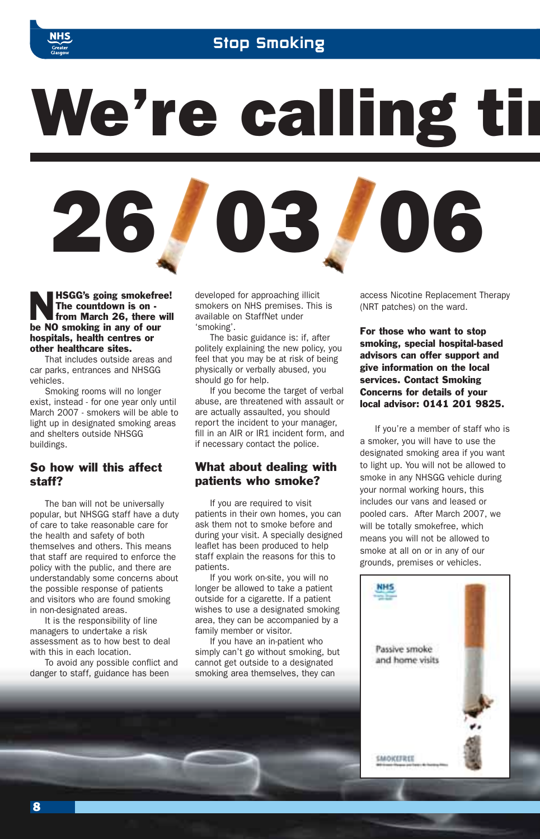

## Stop Smoking

We're calling tin



**HSGG's going smokefree!** The countdown is on from March 26, there will be NO smoking in any of our hospitals, health centres or other healthcare sites.

That includes outside areas and car parks, entrances and NHSGG vehicles.

Smoking rooms will no longer exist, instead - for one year only until March 2007 - smokers will be able to light up in designated smoking areas and shelters outside NHSGG buildings.

## So how will this affect staff?

The ban will not be universally popular, but NHSGG staff have a duty of care to take reasonable care for the health and safety of both themselves and others. This means that staff are required to enforce the policy with the public, and there are understandably some concerns about the possible response of patients and visitors who are found smoking in non-designated areas.

It is the responsibility of line managers to undertake a risk assessment as to how best to deal with this in each location.

To avoid any possible conflict and danger to staff, guidance has been

developed for approaching illicit smokers on NHS premises. This is available on StaffNet under 'smoking'.

The basic guidance is: if, after politely explaining the new policy, you feel that you may be at risk of being physically or verbally abused, you should go for help.

If you become the target of verbal abuse, are threatened with assault or are actually assaulted, you should report the incident to your manager, fill in an AIR or IR1 incident form, and if necessary contact the police.

### What about dealing with patients who smoke?

If you are required to visit patients in their own homes, you can ask them not to smoke before and during your visit. A specially designed leaflet has been produced to help staff explain the reasons for this to patients.

If you work on-site, you will no longer be allowed to take a patient outside for a cigarette. If a patient wishes to use a designated smoking area, they can be accompanied by a family member or visitor.

If you have an in-patient who simply can't go without smoking, but cannot get outside to a designated smoking area themselves, they can

access Nicotine Replacement Therapy (NRT patches) on the ward.

For those who want to stop smoking, special hospital-based advisors can offer support and give information on the local services. Contact Smoking Concerns for details of your local advisor: 0141 201 9825.

If you're a member of staff who is a smoker, you will have to use the designated smoking area if you want to light up. You will not be allowed to smoke in any NHSGG vehicle during your normal working hours, this includes our vans and leased or pooled cars. After March 2007, we will be totally smokefree, which means you will not be allowed to smoke at all on or in any of our grounds, premises or vehicles.

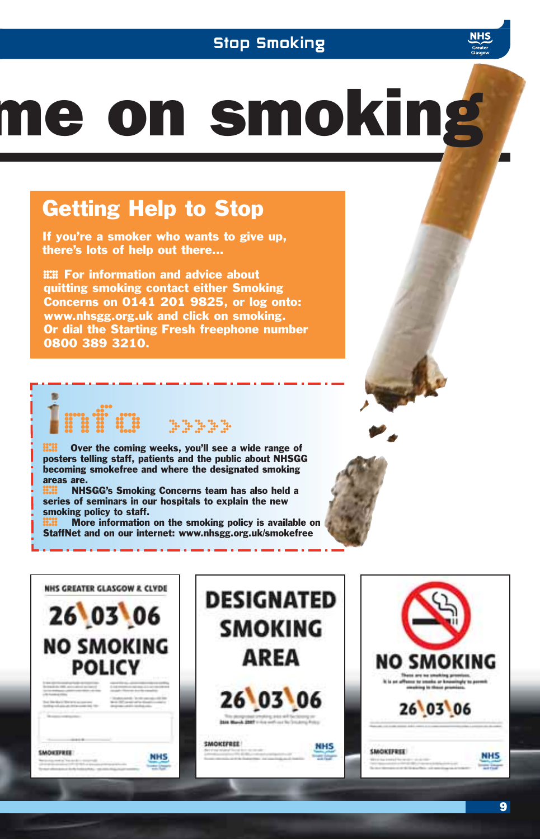## Stop Smoking

# me on smoking

## Getting Help to Stop

If you're a smoker who wants to give up, there's lots of help out there…

**EE** For information and advice about<br>quitting smoking contact either Smoking Concerns on 0141 201 9825, or log onto: www.nhsgg.org.uk and click on smoking. Or dial the Starting Fresh freephone number 0800 389 3210.

**ECO** Over the coming weeks, you'll see a wide range of posters telling staff, patients and the public about NHSG<br>becoming smokefree and where the designated smoking posters telling staff, patients and the public about NHSGG becoming smokefree and where the designated smoking areas are.

nfo and been

**ECO** NHSGG's Smoking Concerns team has also held a series of seminars in our hospitals to explain the new smoking policy to staff. series of seminars in our hospitals to explain the new smoking policy to staff.

**ECO** More information on the smoking policy is available on StaffNet and on our internet: www.nhsgg.org.uk/smokefree StaffNet and on our internet: www.nhsgg.org.uk/smokefree

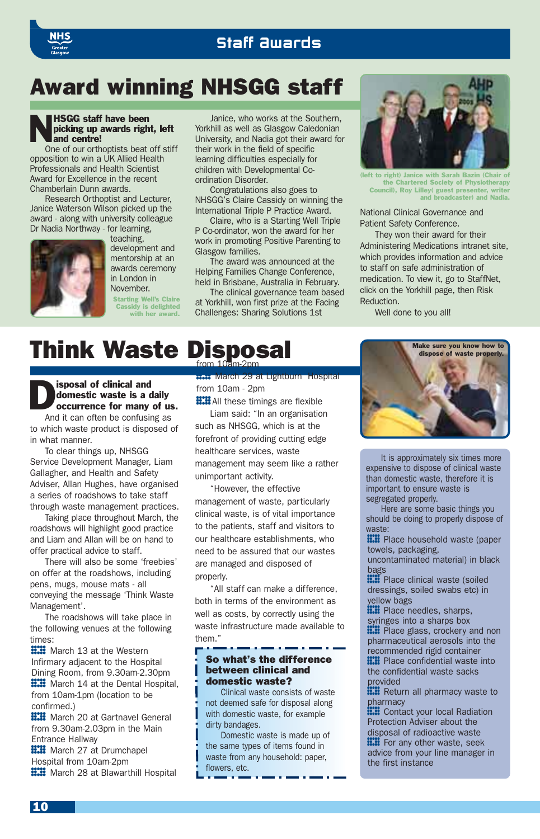## Staff Awards

## Award winning NHSGG staff

#### **NHSGG staff have been**<br>picking up awards righ<br>and centre! picking up awards right, left and centre!

One of our orthoptists beat off stiff opposition to win a UK Allied Health Professionals and Health Scientist Award for Excellence in the recent Chamberlain Dunn awards.

Research Orthoptist and Lecturer, Janice Waterson Wilson picked up the award - along with university colleague Dr Nadia Northway - for learning,



teaching, development and mentorship at an awards ceremony in London in November.

Starting Well's Claire Cassidy is delighted with her award.

Janice, who works at the Southern, Yorkhill as well as Glasgow Caledonian University, and Nadia got their award for their work in the field of specific learning difficulties especially for children with Developmental Coordination Disorder.

Congratulations also goes to NHSGG's Claire Cassidy on winning the International Triple P Practice Award.

Claire, who is a Starting Well Triple P Co-ordinator, won the award for her work in promoting Positive Parenting to Glasgow families.

The award was announced at the Helping Families Change Conference, held in Brisbane, Australia in February.

The clinical governance team based at Yorkhill, won first prize at the Facing Challenges: Sharing Solutions 1st



(left to right) Janice with Sarah Bazin (Chair of the Chartered Society of Physiotherapy Council), Roy Lilley( guest presenter, and broadcaster) and Nadia.

National Clinical Governance and Patient Safety Conference.

They won their award for their Administering Medications intranet site, which provides information and advice to staff on safe administration of medication. To view it, go to StaffNet, click on the Yorkhill page, then Risk Reduction.

Well done to you all!

## **Think Waste Disposal**

Sisposal of clinical and<br>domestic waste is a concurrence for many domestic waste is a daily occurrence for many of us.

And it can often be confusing as to which waste product is disposed of in what manner.

To clear things up, NHSGG Service Development Manager, Liam Gallagher, and Health and Safety Adviser, Allan Hughes, have organised a series of roadshows to take staff through waste management practices.

Taking place throughout March, the roadshows will highlight good practice and Liam and Allan will be on hand to offer practical advice to staff.

There will also be some 'freebies' on offer at the roadshows, including pens, mugs, mouse mats - all conveying the message 'Think Waste Management'.

The roadshows will take place in the following venues at the following times:

**HIII** March 13 at the Western Infirmary adjacent to the Hospital Dining Room, from 9.30am-2.30pm **::::** March 14 at the Dental Hospital, from 10am-1pm (location to be confirmed.)

**::::** March 20 at Gartnavel General from 9.30am-2.03pm in the Main Entrance Hallway

**::::** March 27 at Drumchapel Hospital from 10am-2pm **::::** March 28 at Blawarthill Hospital

° March 29 at Lightburn Hospital from 10am - 2pm

**HIMAII** these timings are flexible<br>Liam said: "In an organisation Liam said: "In an organisation such as NHSGG, which is at the forefront of providing cutting edge healthcare services, waste management may seem like a rather

unimportant activity. "However, the effective management of waste, particularly clinical waste, is of vital importance to the patients, staff and visitors to our healthcare establishments, who need to be assured that our wastes are managed and disposed of properly.

"All staff can make a difference, both in terms of the environment as well as costs, by correctly using the waste infrastructure made available to them."

#### So what's the difference between clinical and domestic waste?

Clinical waste consists of waste not deemed safe for disposal along with domestic waste, for example dirty bandages.

Domestic waste is made up of the same types of items found in waste from any household: paper, flowers, etc.



It is approximately six times more expensive to dispose of clinical waste than domestic waste, therefore it is important to ensure waste is segregated properly.

Here are some basic things you should be doing to properly dispose of waste:

**IIII** Place household waste (paper<br>towels, packaging,<br>uncontaminated material) in black towels, packaging,

bags<br>**....** Place clinical waste (soiled

**IIII** Place clinical waste (soiled dressings, soiled swabs etc) in yellow bags dressings, soiled swabs etc) in yellow bags<br>**....** Place needles, sharps,

**E.E.** Place needles, sharps,<br>syringes into a sharps box<br>**E.E.** Place glass, crockery a syringes into a sharps box **IIII** Place glass, crockery and non<br>pharmaceutical aerosols into the<br>recommended rigid container pharmaceutical aerosols into the recommended rigid container<br> **....** Place confidential waste into **IIII** Place confidential waste into<br>the confidential waste sacks<br>provided the confidential waste sacks provided

**EXECUTE:** Return all pharmacy waste to<br>pharmacy<br>**EXECUTE:** Contact your local Radiation pharmacy

**EEE** Contact your local Radiation<br>Protection Adviser about the<br>disposal of radioactive waste Protection Adviser about the disposal of radioactive waste **:...** For any other waste, seek advice from your line manager in the first instance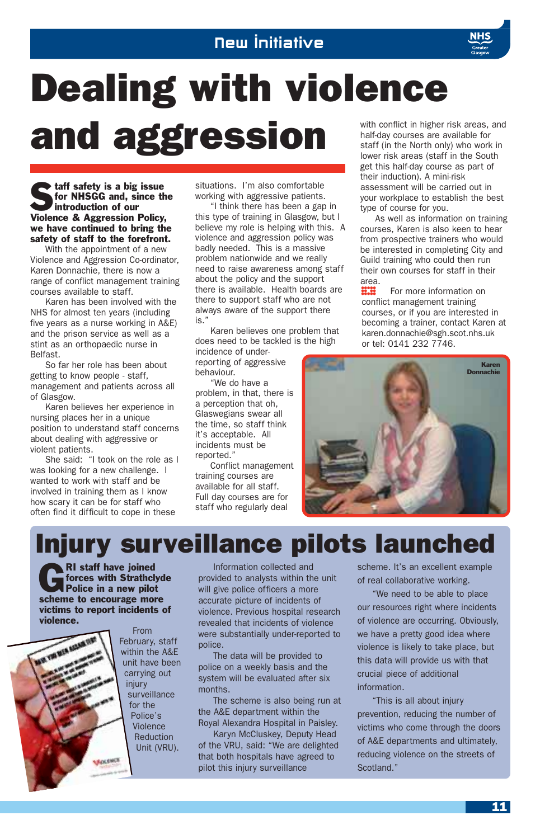

**Staff safety is a big issue**<br>for NHSGG and, since the introduction of our for NHSGG and, since the introduction of our Violence & Aggression Policy, we have continued to bring the safety of staff to the forefront.

With the appointment of a new Violence and Aggression Co-ordinator, Karen Donnachie, there is now a range of conflict management training courses available to staff.

Karen has been involved with the NHS for almost ten years (including five years as a nurse working in A&E) and the prison service as well as a stint as an orthopaedic nurse in Belfast.

So far her role has been about getting to know people - staff, management and patients across all of Glasgow.

Karen believes her experience in nursing places her in a unique position to understand staff concerns about dealing with aggressive or violent patients.

She said: "I took on the role as I was looking for a new challenge. I wanted to work with staff and be involved in training them as I know how scary it can be for staff who often find it difficult to cope in these

situations. I'm also comfortable working with aggressive patients.

"I think there has been a gap in this type of training in Glasgow, but I believe my role is helping with this. A violence and aggression policy was badly needed. This is a massive problem nationwide and we really need to raise awareness among staff about the policy and the support there is available. Health boards are there to support staff who are not always aware of the support there is."

Karen believes one problem that does need to be tackled is the high

incidence of underreporting of aggressive behaviour.

"We do have a problem, in that, there is a perception that oh, Glaswegians swear all the time, so staff think it's acceptable. All incidents must be reported."

Conflict management training courses are available for all staff. Full day courses are for staff who regularly deal

with conflict in higher risk areas, and half-day courses are available for staff (in the North only) who work in lower risk areas (staff in the South get this half-day course as part of their induction). A mini-risk assessment will be carried out in your workplace to establish the best type of course for you.

As well as information on training courses, Karen is also keen to hear from prospective trainers who would be interested in completing City and Guild training who could then run their own courses for staff in their area.

**ECO** For more information on<br>conflict management training<br>courses, or if you are interested in conflict management training becoming a trainer, contact Karen at karen.donnachie@sgh.scot.nhs.uk or tel: 0141 232 7746.



Injury surveillance pilots launched

RI staff have joined<br>
Folice in a new pilot<br>
Police in a new pilot forces with Strathclyde scheme to encourage more victims to report incidents of violence.



From February, staff within the A&E unit have been carrying out injury surveillance for the Police's Violence Reduction Unit (VRU).

Information collected and provided to analysts within the unit will give police officers a more accurate picture of incidents of violence. Previous hospital research revealed that incidents of violence were substantially under-reported to police.

The data will be provided to police on a weekly basis and the system will be evaluated after six months.

The scheme is also being run at the A&E department within the Royal Alexandra Hospital in Paisley.

Karyn McCluskey, Deputy Head of the VRU, said: "We are delighted that both hospitals have agreed to pilot this injury surveillance

scheme. It's an excellent example of real collaborative working.

"We need to be able to place our resources right where incidents of violence are occurring. Obviously, we have a pretty good idea where violence is likely to take place, but this data will provide us with that crucial piece of additional information.

"This is all about injury prevention, reducing the number of victims who come through the doors of A&E departments and ultimately, reducing violence on the streets of Scotland."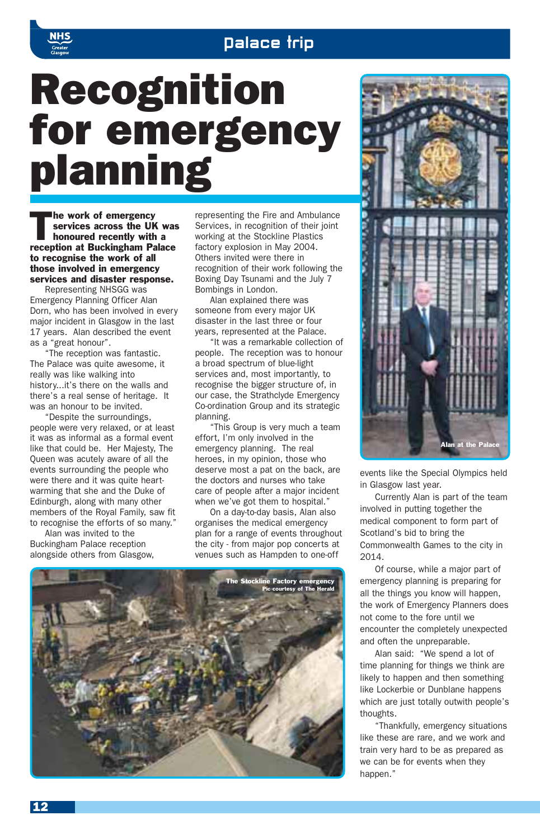## **Palace trip**

## Recognition for emergency planning

The work of emergency<br>
services across the UK<br>
honoured recently with a<br>
not be believed by the late services across the UK was reception at Buckingham Palace to recognise the work of all those involved in emergency services and disaster response.

Representing NHSGG was Emergency Planning Officer Alan Dorn, who has been involved in every major incident in Glasgow in the last 17 years. Alan described the event as a "great honour".

The reception was fantastic. The Palace was quite awesome, it really was like walking into history...it's there on the walls and there's a real sense of heritage. It was an honour to be invited.

"Despite the surroundings, people were very relaxed, or at least it was as informal as a formal event like that could be. Her Majesty, The Queen was acutely aware of all the events surrounding the people who were there and it was quite heartwarming that she and the Duke of Edinburgh, along with many other members of the Royal Family, saw fit to recognise the efforts of so many."

Alan was invited to the Buckingham Palace reception alongside others from Glasgow, representing the Fire and Ambulance Services, in recognition of their joint working at the Stockline Plastics factory explosion in May 2004. Others invited were there in recognition of their work following the Boxing Day Tsunami and the July 7 Bombings in London.

Alan explained there was someone from every major UK disaster in the last three or four years, represented at the Palace.

"It was a remarkable collection of people. The reception was to honour a broad spectrum of blue-light services and, most importantly, to recognise the bigger structure of, in our case, the Strathclyde Emergency Co-ordination Group and its strategic planning.

"This Group is very much a team effort, I'm only involved in the emergency planning. The real heroes, in my opinion, those who deserve most a pat on the back, are the doctors and nurses who take care of people after a major incident when we've got them to hospital."

On a day-to-day basis, Alan also organises the medical emergency plan for a range of events throughout the city - from major pop concerts at venues such as Hampden to one-off





events like the Special Olympics held in Glasgow last year.

Currently Alan is part of the team involved in putting together the medical component to form part of Scotland's bid to bring the Commonwealth Games to the city in 2014.

Of course, while a major part of emergency planning is preparing for all the things you know will happen, the work of Emergency Planners does not come to the fore until we encounter the completely unexpected and often the unpreparable.

Alan said: "We spend a lot of time planning for things we think are likely to happen and then something like Lockerbie or Dunblane happens which are just totally outwith people's thoughts.

"Thankfully, emergency situations like these are rare, and we work and train very hard to be as prepared as we can be for events when they happen."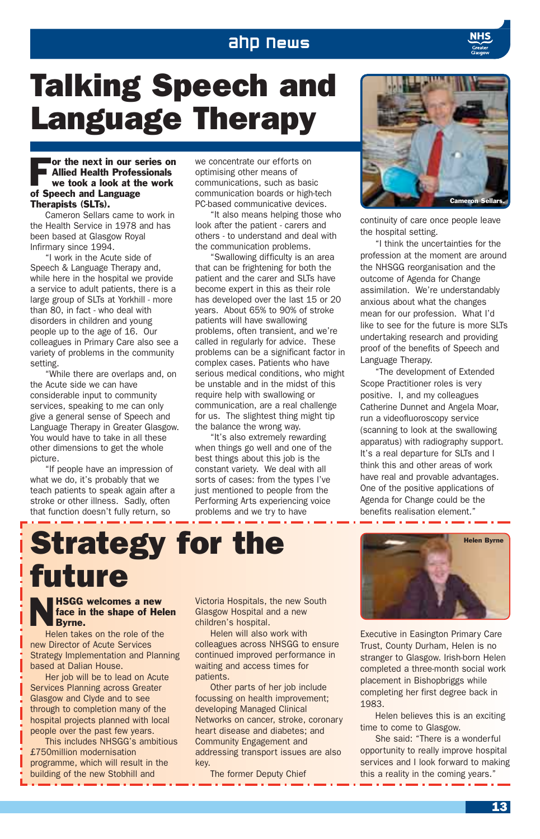## ahp news

## Talking Speech and Language Therapy

#### For the next in our series on<br>Allied Health Professionals<br>we took a look at the work Allied Health Professionals we took a look at the work of Speech and Language Therapists (SLTs).

Cameron Sellars came to work in the Health Service in 1978 and has been based at Glasgow Royal Infirmary since 1994.

"I work in the Acute side of Speech & Language Therapy and, while here in the hospital we provide a service to adult patients, there is a large group of SLTs at Yorkhill - more than 80, in fact - who deal with disorders in children and young people up to the age of 16. Our colleagues in Primary Care also see a variety of problems in the community setting.

"While there are overlaps and, on the Acute side we can have considerable input to community services, speaking to me can only give a general sense of Speech and Language Therapy in Greater Glasgow. You would have to take in all these other dimensions to get the whole picture.

"If people have an impression of what we do, it's probably that we teach patients to speak again after a stroke or other illness. Sadly, often that function doesn't fully return, so

we concentrate our efforts on optimising other means of communications, such as basic communication boards or high-tech PC-based communicative devices.

"It also means helping those who look after the patient - carers and others - to understand and deal with the communication problems.

"Swallowing difficulty is an area that can be frightening for both the patient and the carer and SLTs have become expert in this as their role has developed over the last 15 or 20 years. About 65% to 90% of stroke patients will have swallowing problems, often transient, and we're called in regularly for advice. These problems can be a significant factor in complex cases. Patients who have serious medical conditions, who might be unstable and in the midst of this require help with swallowing or communication, are a real challenge for us. The slightest thing might tip the balance the wrong way.

"It's also extremely rewarding when things go well and one of the best things about this job is the constant variety. We deal with all sorts of cases: from the types I've just mentioned to people from the Performing Arts experiencing voice problems and we try to have



continuity of care once people leave the hospital setting.

"I think the uncertainties for the profession at the moment are around the NHSGG reorganisation and the outcome of Agenda for Change assimilation. We're understandably anxious about what the changes mean for our profession. What I'd like to see for the future is more SLTs undertaking research and providing proof of the benefits of Speech and Language Therapy.

"The development of Extended Scope Practitioner roles is very positive. I, and my colleagues Catherine Dunnet and Angela Moar, run a videofluoroscopy service (scanning to look at the swallowing apparatus) with radiography support. It's a real departure for SLTs and I think this and other areas of work have real and provable advantages. One of the positive applications of Agenda for Change could be the benefits realisation element."

## Strategy for the future

#### **NHSGG welcomes a new**<br>face in the shape of He<br>Byrne. face in the shape of Helen Byrne.

Helen takes on the role of the new Director of Acute Services Strategy Implementation and Planning based at Dalian House.

Her job will be to lead on Acute Services Planning across Greater Glasgow and Clyde and to see through to completion many of the hospital projects planned with local people over the past few years.

This includes NHSGG's ambitious £750million modernisation programme, which will result in the building of the new Stobhill and

Victoria Hospitals, the new South Glasgow Hospital and a new children's hospital.

Helen will also work with colleagues across NHSGG to ensure continued improved performance in waiting and access times for patients.

Other parts of her job include focussing on health improvement; developing Managed Clinical Networks on cancer, stroke, coronary heart disease and diabetes; and Community Engagement and addressing transport issues are also key.

The former Deputy Chief



Executive in Easington Primary Care Trust, County Durham, Helen is no stranger to Glasgow. Irish-born Helen completed a three-month social work placement in Bishopbriggs while completing her first degree back in 1983.

Helen believes this is an exciting time to come to Glasgow.

She said: "There is a wonderful opportunity to really improve hospital services and I look forward to making this a reality in the coming years."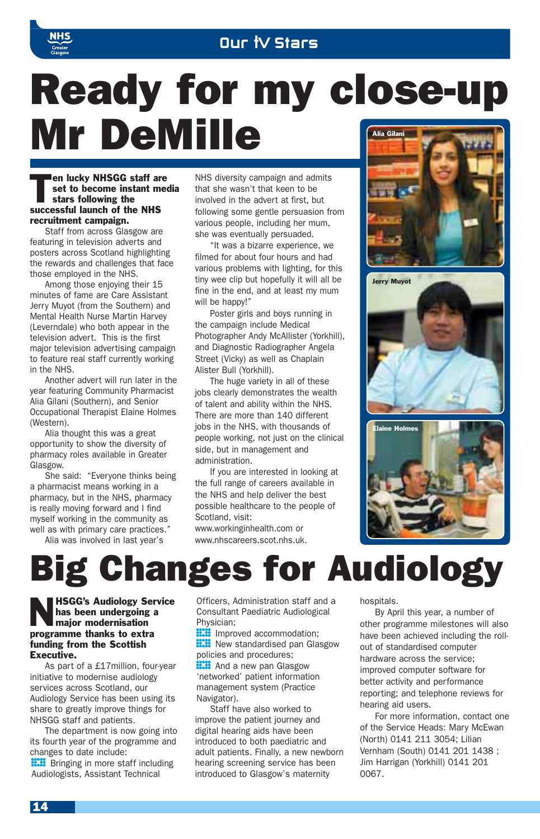

## Ready for my close-up Mr DeMille **Alia Gilani**

Then lucky NHSGG staff are<br>set to become instant me<br>stars following the<br>stars in launch of the NHS set to become instant media stars following the successful launch of the NHS recruitment campaign.

Staff from across Glasgow are featuring in television adverts and posters across Scotland highlighting the rewards and challenges that face those employed in the NHS.

Among those enjoying their 15 minutes of fame are Care Assistant Jerry Muyot (from the Southern) and Mental Health Nurse Martin Harvey (Leverndale) who both appear in the television advert. This is the first major television advertising campaign to feature real staff currently working in the NHS.

Another advert will run later in the year featuring Community Pharmacist Alia Gilani (Southern), and Senior Occupational Therapist Elaine Holmes (Western).

Alia thought this was a great opportunity to show the diversity of pharmacy roles available in Greater Glasgow

She said: "Everyone thinks being a pharmacist means working in a pharmacy, but in the NHS, pharmacy is really moving forward and I find myself working in the community as well as with primary care practices." Alia was involved in last year's

NHS diversity campaign and admits that she wasn't that keen to be involved in the advert at first, but following some gentle persuasion from various people, including her mum, she was eventually persuaded.

"It was a bizarre experience, we filmed for about four hours and had various problems with lighting, for this tiny wee clip but hopefully it will all be fine in the end, and at least my mum will be happy!"

Poster girls and boys running in the campaign include Medical Photographer Andy McAllister (Yorkhill), and Diagnostic Radiographer Angela Street (Vicky) as well as Chaplain Alister Bull (Yorkhill).

The huge variety in all of these jobs clearly demonstrates the wealth of talent and ability within the NHS. There are more than 140 different jobs in the NHS, with thousands of people working, not just on the clinical side, but in management and administration.

If you are interested in looking at the full range of careers available in the NHS and help deliver the best possible healthcare to the people of Scotland, visit:

www.workinginhealth.com or www.nhscareers.scot.nhs.uk.



Jerry Muyot





## Big Changes for Audiology

#### NHSGG's Audiology Service has been undergoing a major modernisation programme thanks to extra funding from the Scottish Executive.

As part of a £17million, four-year initiative to modernise audiology services across Scotland, our Audiology Service has been using its share to greatly improve things for NHSGG staff and patients.

The department is now going into its fourth year of the programme and changes to date include: **::::** Bringing in more staff including Audiologists, Assistant Technical

Officers, Administration staff and a Consultant Paediatric Audiological Physician;

**ECO** Improved accommodation;<br> **ECO** New standardised pan Glas<br>
policies and procedures: **ECO** New standardised pan Glasgow<br>policies and procedures;<br>**ECO** And a new pan Glasgow policies and procedures;

**EXALC** And a new pan Glasgow<br>
'networked' patient information<br>
management system (Practic 'networked' patient information management system (Practice Navigator).

Staff have also worked to improve the patient journey and digital hearing aids have been introduced to both paediatric and adult patients. Finally, a new newborn hearing screening service has been introduced to Glasgow's maternity

hospitals.

By April this year, a number of other programme milestones will also have been achieved including the rollout of standardised computer hardware across the service; improved computer software for better activity and performance reporting; and telephone reviews for hearing aid users.

For more information, contact one of the Service Heads: Mary McEwan (North) 0141 211 3054; Lilian Vernham (South) 0141 201 1438 ; Jim Harrigan (Yorkhill) 0141 201 0067.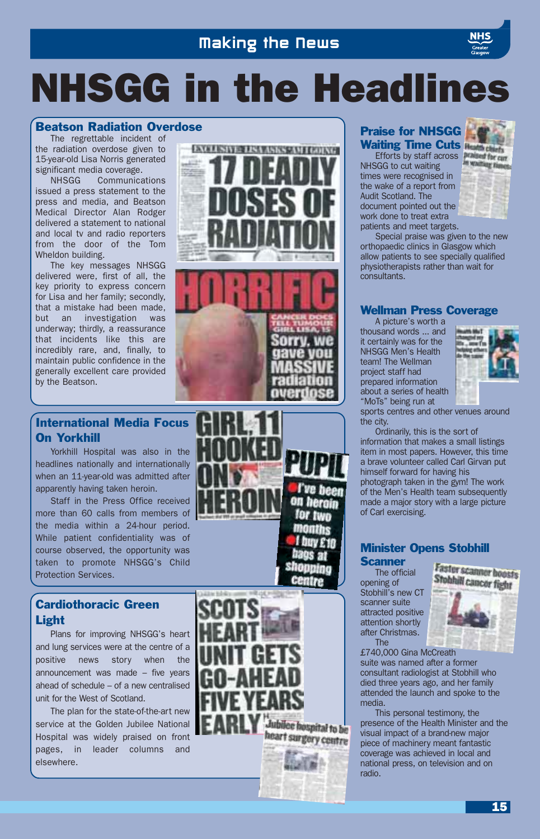## NHSGG in the Headlines

### Beatson Radiation Overdose

The regrettable incident of the radiation overdose given to 15-year-old Lisa Norris generated significant media coverage.

NHSGG Communications issued a press statement to the press and media, and Beatson Medical Director Alan Rodger delivered a statement to national and local tv and radio reporters from the door of the Tom Wheldon building.

The key messages NHSGG delivered were, first of all, the key priority to express concern for Lisa and her family; secondly, that a mistake had been made, but an investigation was underway; thirdly, a reassurance that incidents like this are incredibly rare, and, finally, to maintain public confidence in the generally excellent care provided by the Beatson.





## International Media Focus On Yorkhill

Yorkhill Hospital was also in the headlines nationally and internationally when an 11-year-old was admitted after apparently having taken heroin.

Staff in the Press Office received more than 60 calls from members of the media within a 24-hour period. While patient confidentiality was of course observed, the opportunity was taken to promote NHSGG's Child Protection Services.

## Cardiothoracic Green Light

Plans for improving NHSGG's heart and lung services were at the centre of a positive news story when the announcement was made – five years ahead of schedule – of a new centralised unit for the West of Scotland.

The plan for the state-of-the-art new service at the Golden Jubilee National Hospital was widely praised on front pages, in leader columns and elsewhere.



## Praise for NHSGG Waiting Time Cuts

Efforts by staff across **France for curr** NHSGG to cut waiting times were recognised in the wake of a report from Audit Scotland. The document pointed out the

work done to treat extra patients and meet targets. **WARDER IN** 

Special praise was given to the new orthopaedic clinics in Glasgow which allow patients to see specially qualified physiotherapists rather than wait for consultants.

## Wellman Press Coverage

A picture's worth a thousand words ... and it certainly was for the NHSGG Men's Health team! The Wellman project staff had prepared information about a series of health "MoTs" being run at



sports centres and other venues around the city.

Ordinarily, this is the sort of information that makes a small listings item in most papers. However, this time a brave volunteer called Carl Girvan put himself forward for having his photograph taken in the gym! The work of the Men's Health team subsequently made a major story with a large picture of Carl exercising.

## Minister Opens Stobhill

## **Scanner**

l've been on heroin for two

> The official opening of Stobhill's new CT scanner suite attracted positive attention shortly after Christmas. The



£740,000 Gina McCreath suite was named after a former consultant radiologist at Stobhill who died three years ago, and her family attended the launch and spoke to the media.

This personal testimony, the presence of the Health Minister and the visual impact of a brand-new major piece of machinery meant fantastic coverage was achieved in local and national press, on television and on radio.